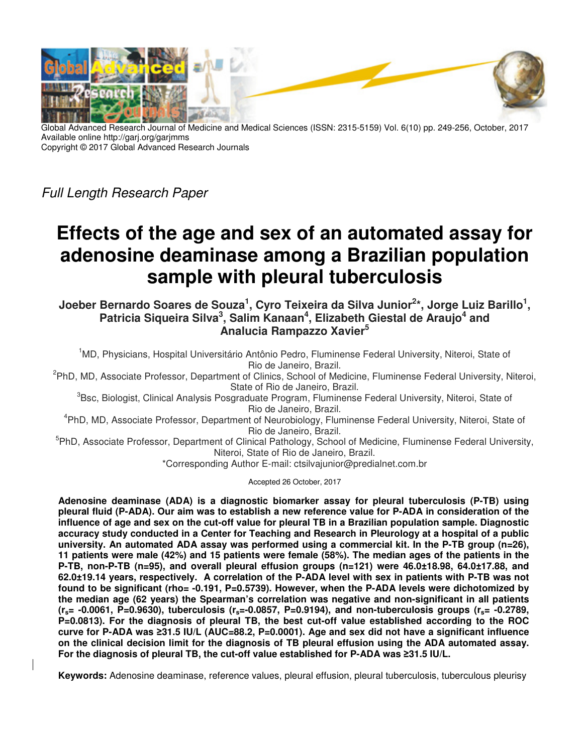

Global Advanced Research Journal of Medicine and Medical Sciences (ISSN: 2315-5159) Vol. 6(10) pp. 249-256, October, 2017 Available online http://garj.org/garjmms Copyright © 2017 Global Advanced Research Journals

Full Length Research Paper

# **Effects of the age and sex of an automated assay for adenosine deaminase among a Brazilian population sample with pleural tuberculosis**

**Joeber Bernardo Soares de Souza<sup>1</sup> , Cyro Teixeira da Silva Junior<sup>2</sup> \*, Jorge Luiz Barillo<sup>1</sup> ,**  Patricia Siqueira Silva<sup>3</sup>, Salim Kanaan<sup>4</sup>, Elizabeth Giestal de Araujo<sup>4</sup> and **Analucia Rampazzo Xavier<sup>5</sup>**

<sup>1</sup>MD, Physicians, Hospital Universitário Antônio Pedro, Fluminense Federal University, Niteroi, State of Rio de Janeiro, Brazil.

<sup>2</sup>PhD, MD, Associate Professor, Department of Clinics, School of Medicine, Fluminense Federal University, Niteroi, State of Rio de Janeiro, Brazil.

<sup>3</sup>Bsc, Biologist, Clinical Analysis Posgraduate Program, Fluminense Federal University, Niteroi, State of Rio de Janeiro, Brazil.

4 PhD, MD, Associate Professor, Department of Neurobiology, Fluminense Federal University, Niteroi, State of Rio de Janeiro, Brazil.

<sup>5</sup>PhD, Associate Professor, Department of Clinical Pathology, School of Medicine, Fluminense Federal University, Niteroi, State of Rio de Janeiro, Brazil.

\*Corresponding Author E-mail: ctsilvajunior@predialnet.com.br

Accepted 26 October, 2017

**Adenosine deaminase (ADA) is a diagnostic biomarker assay for pleural tuberculosis (P-TB) using pleural fluid (P-ADA). Our aim was to establish a new reference value for P-ADA in consideration of the influence of age and sex on the cut-off value for pleural TB in a Brazilian population sample. Diagnostic accuracy study conducted in a Center for Teaching and Research in Pleurology at a hospital of a public university. An automated ADA assay was performed using a commercial kit. In the P-TB group (n=26), 11 patients were male (42%) and 15 patients were female (58%). The median ages of the patients in the P-TB, non-P-TB (n=95), and overall pleural effusion groups (n=121) were 46.0±18.98, 64.0±17.88, and 62.0±19.14 years, respectively. A correlation of the P-ADA level with sex in patients with P-TB was not found to be significant (rho= -0.191, P=0.5739). However, when the P-ADA levels were dichotomized by the median age (62 years) the Spearman's correlation was negative and non-significant in all patients (rs= -0.0061, P=0.9630), tuberculosis (rs=-0.0857, P=0.9194), and non-tuberculosis groups (rs= -0.2789, P=0.0813). For the diagnosis of pleural TB, the best cut-off value established according to the ROC curve for P-ADA was ≥31.5 IU/L (AUC=88.2, P=0.0001). Age and sex did not have a significant influence on the clinical decision limit for the diagnosis of TB pleural effusion using the ADA automated assay. For the diagnosis of pleural TB, the cut-off value established for P-ADA was ≥31.5 IU/L.** 

**Keywords:** Adenosine deaminase, reference values, pleural effusion, pleural tuberculosis, tuberculous pleurisy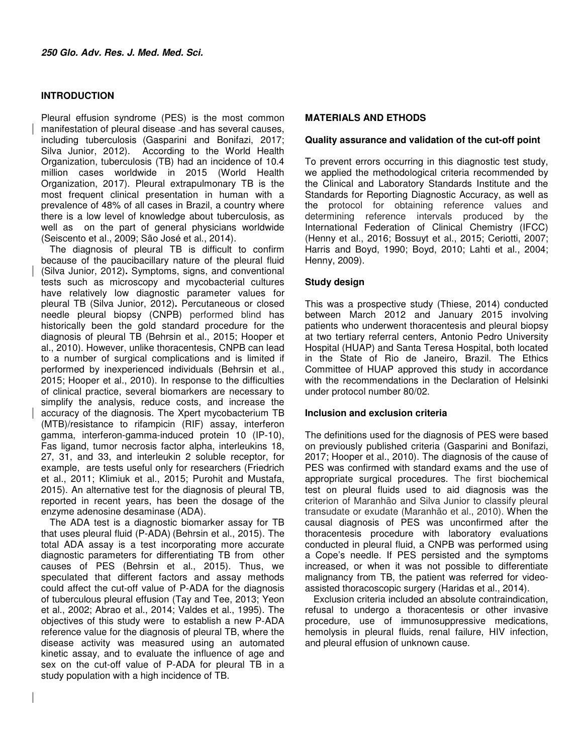## **INTRODUCTION**

Pleural effusion syndrome (PES) is the most common manifestation of pleural disease -and has several causes, including tuberculosis (Gasparini and Bonifazi, 2017; Silva Junior, 2012). According to the World Health Organization, tuberculosis (TB) had an incidence of 10.4 million cases worldwide in 2015 (World Health Organization, 2017). Pleural extrapulmonary TB is the most frequent clinical presentation in human with a prevalence of 48% of all cases in Brazil, a country where there is a low level of knowledge about tuberculosis, as well as on the part of general physicians worldwide (Seiscento et al., 2009; São José et al., 2014).

The diagnosis of pleural TB is difficult to confirm because of the paucibacillary nature of the pleural fluid (Silva Junior, 2012)**.** Symptoms, signs, and conventional tests such as microscopy and mycobacterial cultures have relatively low diagnostic parameter values for pleural TB (Silva Junior, 2012)**.** Percutaneous or closed needle pleural biopsy (CNPB) performed blind has historically been the gold standard procedure for the diagnosis of pleural TB (Behrsin et al., 2015; Hooper et al., 2010). However, unlike thoracentesis, CNPB can lead to a number of surgical complications and is limited if performed by inexperienced individuals (Behrsin et al., 2015; Hooper et al., 2010). In response to the difficulties of clinical practice, several biomarkers are necessary to simplify the analysis, reduce costs, and increase the accuracy of the diagnosis. The Xpert mycobacterium TB (MTB)/resistance to rifampicin (RIF) assay, interferon gamma, interferon-gamma-induced protein 10 (IP-10), Fas ligand, tumor necrosis factor alpha, interleukins 18, 27, 31, and 33, and interleukin 2 soluble receptor, for example, are tests useful only for researchers (Friedrich et al., 2011; Klimiuk et al., 2015; Purohit and Mustafa, 2015). An alternative test for the diagnosis of pleural TB, reported in recent years, has been the dosage of the enzyme adenosine desaminase (ADA).

The ADA test is a diagnostic biomarker assay for TB that uses pleural fluid (P-ADA) (Behrsin et al., 2015). The total ADA assay is a test incorporating more accurate diagnostic parameters for differentiating TB from other causes of PES (Behrsin et al., 2015). Thus, we speculated that different factors and assay methods could affect the cut-off value of P-ADA for the diagnosis of tuberculous pleural effusion (Tay and Tee, 2013; Yeon et al., 2002; Abrao et al., 2014; Valdes et al., 1995). The objectives of this study were to establish a new P-ADA reference value for the diagnosis of pleural TB, where the disease activity was measured using an automated kinetic assay, and to evaluate the influence of age and sex on the cut-off value of P-ADA for pleural TB in a study population with a high incidence of TB.

#### **MATERIALS AND ETHODS**

#### **Quality assurance and validation of the cut-off point**

To prevent errors occurring in this diagnostic test study, we applied the methodological criteria recommended by the Clinical and Laboratory Standards Institute and the Standards for Reporting Diagnostic Accuracy, as well as the protocol for obtaining reference values and determining reference intervals produced by the International Federation of Clinical Chemistry (IFCC) (Henny et al., 2016; Bossuyt et al., 2015; Ceriotti, 2007; Harris and Boyd, 1990; Boyd, 2010; Lahti et al., 2004; Henny, 2009).

#### **Study design**

This was a prospective study (Thiese, 2014) conducted between March 2012 and January 2015 involving patients who underwent thoracentesis and pleural biopsy at two tertiary referral centers, Antonio Pedro University Hospital (HUAP) and Santa Teresa Hospital, both located in the State of Rio de Janeiro, Brazil. The Ethics Committee of HUAP approved this study in accordance with the recommendations in the Declaration of Helsinki under protocol number 80/02.

#### **Inclusion and exclusion criteria**

The definitions used for the diagnosis of PES were based on previously published criteria (Gasparini and Bonifazi, 2017; Hooper et al., 2010). The diagnosis of the cause of PES was confirmed with standard exams and the use of appropriate surgical procedures. The first biochemical test on pleural fluids used to aid diagnosis was the criterion of Maranhão and Silva Junior to classify pleural transudate or exudate (Maranhão et al., 2010). When the causal diagnosis of PES was unconfirmed after the thoracentesis procedure with laboratory evaluations conducted in pleural fluid, a CNPB was performed using a Cope's needle. If PES persisted and the symptoms increased, or when it was not possible to differentiate malignancy from TB, the patient was referred for videoassisted thoracoscopic surgery (Haridas et al., 2014).

Exclusion criteria included an absolute contraindication, refusal to undergo a thoracentesis or other invasive procedure, use of immunosuppressive medications, hemolysis in pleural fluids, renal failure, HIV infection, and pleural effusion of unknown cause.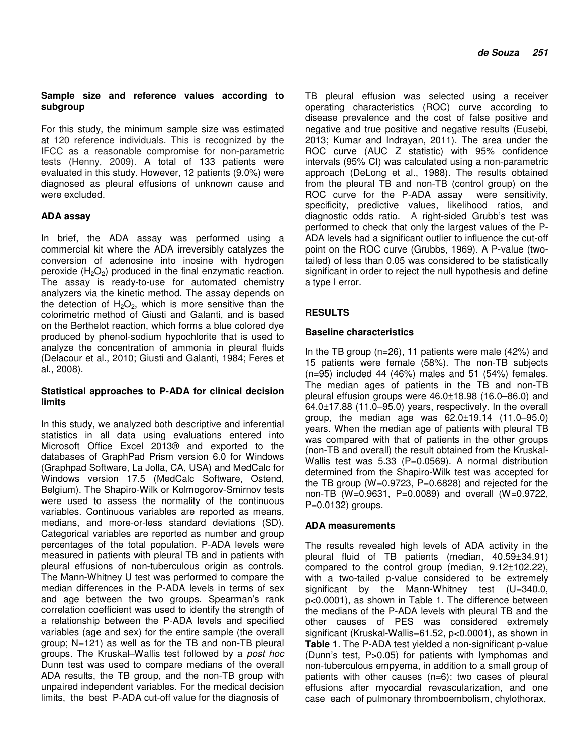## **Sample size and reference values according to subgroup**

For this study, the minimum sample size was estimated at 120 reference individuals. This is recognized by the IFCC as a reasonable compromise for non-parametric tests (Henny, 2009). A total of 133 patients were evaluated in this study. However, 12 patients (9.0%) were diagnosed as pleural effusions of unknown cause and were excluded.

# **ADA assay**

In brief, the ADA assay was performed using a commercial kit where the ADA irreversibly catalyzes the conversion of adenosine into inosine with hydrogen peroxide  $(H_2O_2)$  produced in the final enzymatic reaction. The assay is ready-to-use for automated chemistry analyzers via the kinetic method. The assay depends on the detection of  $H_2O_2$ , which is more sensitive than the colorimetric method of Giusti and Galanti, and is based on the Berthelot reaction, which forms a blue colored dye produced by phenol-sodium hypochlorite that is used to analyze the concentration of ammonia in pleural fluids (Delacour et al., 2010; Giusti and Galanti, 1984; Feres et al., 2008).

## **Statistical approaches to P-ADA for clinical decision limits**

In this study, we analyzed both descriptive and inferential statistics in all data using evaluations entered into Microsoft Office Excel 2013® and exported to the databases of GraphPad Prism version 6.0 for Windows (Graphpad Software, La Jolla, CA, USA) and MedCalc for Windows version 17.5 (MedCalc Software, Ostend, Belgium). The Shapiro-Wilk or Kolmogorov-Smirnov tests were used to assess the normality of the continuous variables. Continuous variables are reported as means, medians, and more-or-less standard deviations (SD). Categorical variables are reported as number and group percentages of the total population. P-ADA levels were measured in patients with pleural TB and in patients with pleural effusions of non-tuberculous origin as controls. The Mann-Whitney U test was performed to compare the median differences in the P-ADA levels in terms of sex and age between the two groups. Spearman's rank correlation coefficient was used to identify the strength of a relationship between the P-ADA levels and specified variables (age and sex) for the entire sample (the overall group; N=121) as well as for the TB and non-TB pleural groups. The Kruskal–Wallis test followed by a post hoc Dunn test was used to compare medians of the overall ADA results, the TB group, and the non-TB group with unpaired independent variables. For the medical decision limits, the best P-ADA cut-off value for the diagnosis of

TB pleural effusion was selected using a receiver operating characteristics (ROC) curve according to disease prevalence and the cost of false positive and negative and true positive and negative results (Eusebi, 2013; Kumar and Indrayan, 2011). The area under the ROC curve (AUC Z statistic) with 95% confidence intervals (95% CI) was calculated using a non-parametric approach (DeLong et al., 1988). The results obtained from the pleural TB and non-TB (control group) on the ROC curve for the P-ADA assay were sensitivity, specificity, predictive values, likelihood ratios, and diagnostic odds ratio. A right-sided Grubb's test was performed to check that only the largest values of the P-ADA levels had a significant outlier to influence the cut-off point on the ROC curve (Grubbs, 1969). A P-value (twotailed) of less than 0.05 was considered to be statistically significant in order to reject the null hypothesis and define a type I error.

# **RESULTS**

# **Baseline characteristics**

In the TB group (n=26), 11 patients were male (42%) and 15 patients were female (58%). The non-TB subjects (n=95) included 44 (46%) males and 51 (54%) females. The median ages of patients in the TB and non-TB pleural effusion groups were 46.0±18.98 (16.0–86.0) and 64.0±17.88 (11.0–95.0) years, respectively. In the overall group, the median age was 62.0±19.14 (11.0–95.0) years. When the median age of patients with pleural TB was compared with that of patients in the other groups (non-TB and overall) the result obtained from the Kruskal-Wallis test was 5.33 (P=0.0569). A normal distribution determined from the Shapiro-Wilk test was accepted for the TB group (W=0.9723, P=0.6828) and rejected for the non-TB (W=0.9631, P=0.0089) and overall (W=0.9722, P=0.0132) groups.

# **ADA measurements**

The results revealed high levels of ADA activity in the pleural fluid of TB patients (median, 40.59±34.91) compared to the control group (median, 9.12±102.22), with a two-tailed p-value considered to be extremely significant by the Mann-Whitney test (U=340.0, p<0.0001), as shown in Table 1. The difference between the medians of the P-ADA levels with pleural TB and the other causes of PES was considered extremely significant (Kruskal-Wallis=61.52, p<0.0001), as shown in **Table 1**. The P-ADA test yielded a non-significant p-value (Dunn's test, P>0.05) for patients with lymphomas and non-tuberculous empyema, in addition to a small group of patients with other causes (n=6): two cases of pleural effusions after myocardial revascularization, and one case each of pulmonary thromboembolism, chylothorax,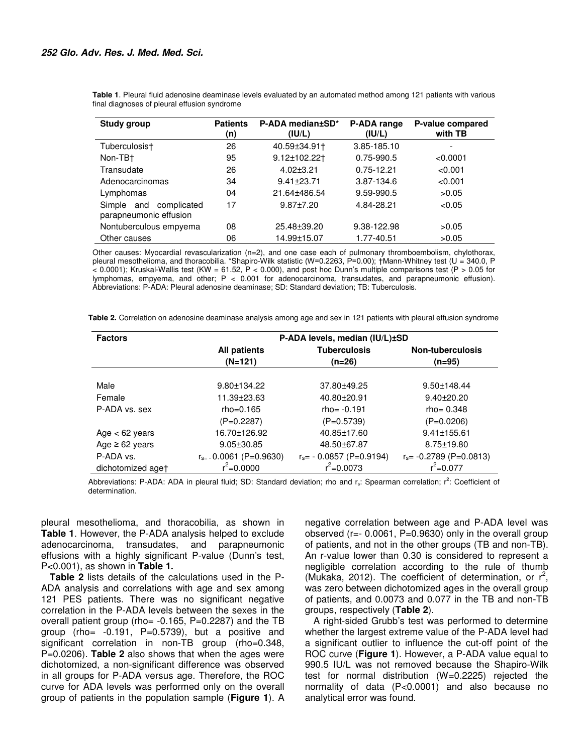| <b>Study group</b>                                  | <b>Patients</b><br>(n) | P-ADA median±SD*<br>(IU/L) | P-ADA range<br>(IU/L) | P-value compared<br>with TB |
|-----------------------------------------------------|------------------------|----------------------------|-----------------------|-----------------------------|
| Tuberculosis†                                       | 26                     | 40.59±34.91†               | 3.85-185.10           | ۰                           |
| Non-TB+                                             | 95                     | 9.12±102.22 <sup>+</sup>   | 0.75-990.5            | < 0.0001                    |
| Transudate                                          | 26                     | $4.02 \pm 3.21$            | 0.75-12.21            | < 0.001                     |
| Adenocarcinomas                                     | 34                     | $9.41 \pm 23.71$           | 3.87-134.6            | < 0.001                     |
| Lymphomas                                           | 04                     | 21.64±486.54               | 9.59-990.5            | >0.05                       |
| Simple and<br>complicated<br>parapneumonic effusion | 17                     | $9.87 \pm 7.20$            | 4.84-28.21            | < 0.05                      |
| Nontuberculous empyema                              | 08                     | $25.48 \pm 39.20$          | 9.38-122.98           | >0.05                       |
| Other causes                                        | 06                     | 14.99±15.07                | 1.77-40.51            | >0.05                       |

**Table 1**. Pleural fluid adenosine deaminase levels evaluated by an automated method among 121 patients with various final diagnoses of pleural effusion syndrome

Other causes: Myocardial revascularization (n=2), and one case each of pulmonary thromboembolism, chylothorax, pleural mesothelioma, and thoracobilia. \*Shapiro-Wilk statistic (W=0.2263, P=0.00); †Mann-Whitney test (U = 340.0, P  $<$  0.0001); Kruskal-Wallis test (KW = 61.52, P < 0.000), and post hoc Dunn's multiple comparisons test (P > 0.05 for lymphomas, empyema, and other; P < 0.001 for adenocarcinoma, transudates, and parapneumonic effusion). Abbreviations: P-ADA: Pleural adenosine deaminase; SD: Standard deviation; TB: Tuberculosis.

**Table 2.** Correlation on adenosine deaminase analysis among age and sex in 121 patients with pleural effusion syndrome

| <b>Factors</b>      | P-ADA levels, median (IU/L)±SD |                             |                            |  |  |
|---------------------|--------------------------------|-----------------------------|----------------------------|--|--|
|                     | <b>All patients</b>            | <b>Tuberculosis</b>         | <b>Non-tuberculosis</b>    |  |  |
|                     | $(N=121)$                      | $(n=26)$                    | (n=95)                     |  |  |
|                     |                                |                             |                            |  |  |
| Male                | $9.80 \pm 134.22$              | 37.80±49.25                 | $9.50 \pm 148.44$          |  |  |
| Female              | 11.39±23.63                    | 40.80±20.91                 | $9.40 \pm 20.20$           |  |  |
| P-ADA vs. sex       | $rho = 0.165$                  | $rho = -0.191$              | $rho = 0.348$              |  |  |
|                     | $(P=0.2287)$                   | $(P=0.5739)$                | $(P=0.0206)$               |  |  |
| Age $<$ 62 years    | 16.70±126.92                   | 40.85±17.60                 | $9.41 \pm 155.61$          |  |  |
| Age $\geq 62$ years | $9.05 \pm 30.85$               | 48.50±67.87                 | $8.75 \pm 19.80$           |  |  |
| P-ADA vs.           | $r_{s=}$ 0.0061 (P=0.9630)     | $r_s$ = - 0.0857 (P=0.9194) | $r_s$ = -0.2789 (P=0.0813) |  |  |
| dichotomized aget   | $r^2 = 0.0000$                 | $r^2 = 0.0073$              | $r^2 = 0.077$              |  |  |

Abbreviations: P-ADA: ADA in pleural fluid; SD: Standard deviation; rho and  $r_s$ : Spearman correlation;  $r^2$ : Coefficient of determination.

pleural mesothelioma, and thoracobilia, as shown in **Table 1**. However, the P-ADA analysis helped to exclude adenocarcinoma, transudates, and parapneumonic effusions with a highly significant P-value (Dunn's test, P<0.001), as shown in **Table 1.** 

**Table 2** lists details of the calculations used in the P-ADA analysis and correlations with age and sex among 121 PES patients. There was no significant negative correlation in the P-ADA levels between the sexes in the overall patient group (rho= -0.165, P=0.2287) and the TB group (rho=  $-0.191$ , P=0.5739), but a positive and significant correlation in non-TB group (rho=0.348, P=0.0206). **Table 2** also shows that when the ages were dichotomized, a non-significant difference was observed in all groups for P-ADA versus age. Therefore, the ROC curve for ADA levels was performed only on the overall group of patients in the population sample (**Figure 1**). A negative correlation between age and P-ADA level was observed (r=- 0.0061, P=0.9630) only in the overall group of patients, and not in the other groups (TB and non-TB). An r-value lower than 0.30 is considered to represent a negligible correlation according to the rule of thumb (Mukaka, 2012). The coefficient of determination, or  $r^2$ , was zero between dichotomized ages in the overall group of patients, and 0.0073 and 0.077 in the TB and non-TB groups, respectively (**Table 2**).

A right-sided Grubb's test was performed to determine whether the largest extreme value of the P-ADA level had a significant outlier to influence the cut-off point of the ROC curve (**Figure 1**). However, a P-ADA value equal to 990.5 IU/L was not removed because the Shapiro-Wilk test for normal distribution (W=0.2225) rejected the normality of data (P<0.0001) and also because no analytical error was found.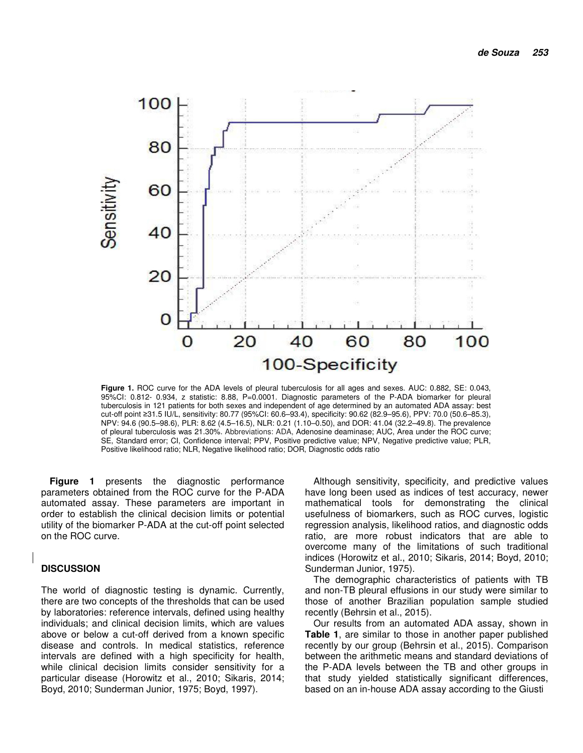

**Figure 1.** ROC curve for the ADA levels of pleural tuberculosis for all ages and sexes. AUC: 0.882, SE: 0.043, 95%CI: 0.812- 0.934, z statistic: 8.88, P=0.0001. Diagnostic parameters of the P-ADA biomarker for pleural tuberculosis in 121 patients for both sexes and independent of age determined by an automated ADA assay: best cut-off point ≥31.5 IU/L, sensitivity: 80.77 (95%CI: 60.6–93.4), specificity: 90.62 (82.9–95.6), PPV: 70.0 (50.6–85.3), NPV: 94.6 (90.5–98.6), PLR: 8.62 (4.5–16.5), NLR: 0.21 (1.10–0.50), and DOR: 41.04 (32.2–49.8). The prevalence of pleural tuberculosis was 21.30%. Abbreviations: ADA, Adenosine deaminase; AUC, Area under the ROC curve; SE, Standard error; CI, Confidence interval; PPV, Positive predictive value; NPV, Negative predictive value; PLR, Positive likelihood ratio; NLR, Negative likelihood ratio; DOR, Diagnostic odds ratio

**Figure 1** presents the diagnostic performance parameters obtained from the ROC curve for the P-ADA automated assay. These parameters are important in order to establish the clinical decision limits or potential utility of the biomarker P-ADA at the cut-off point selected on the ROC curve.

#### **DISCUSSION**

The world of diagnostic testing is dynamic. Currently, there are two concepts of the thresholds that can be used by laboratories: reference intervals, defined using healthy individuals; and clinical decision limits, which are values above or below a cut-off derived from a known specific disease and controls. In medical statistics, reference intervals are defined with a high specificity for health, while clinical decision limits consider sensitivity for a particular disease (Horowitz et al., 2010; Sikaris, 2014; Boyd, 2010; Sunderman Junior, 1975; Boyd, 1997).

Although sensitivity, specificity, and predictive values have long been used as indices of test accuracy, newer mathematical tools for demonstrating the clinical usefulness of biomarkers, such as ROC curves, logistic regression analysis, likelihood ratios, and diagnostic odds ratio, are more robust indicators that are able to overcome many of the limitations of such traditional indices (Horowitz et al., 2010; Sikaris, 2014; Boyd, 2010; Sunderman Junior, 1975).

The demographic characteristics of patients with TB and non-TB pleural effusions in our study were similar to those of another Brazilian population sample studied recently (Behrsin et al., 2015).

Our results from an automated ADA assay, shown in **Table 1**, are similar to those in another paper published recently by our group (Behrsin et al., 2015). Comparison between the arithmetic means and standard deviations of the P-ADA levels between the TB and other groups in that study yielded statistically significant differences, based on an in-house ADA assay according to the Giusti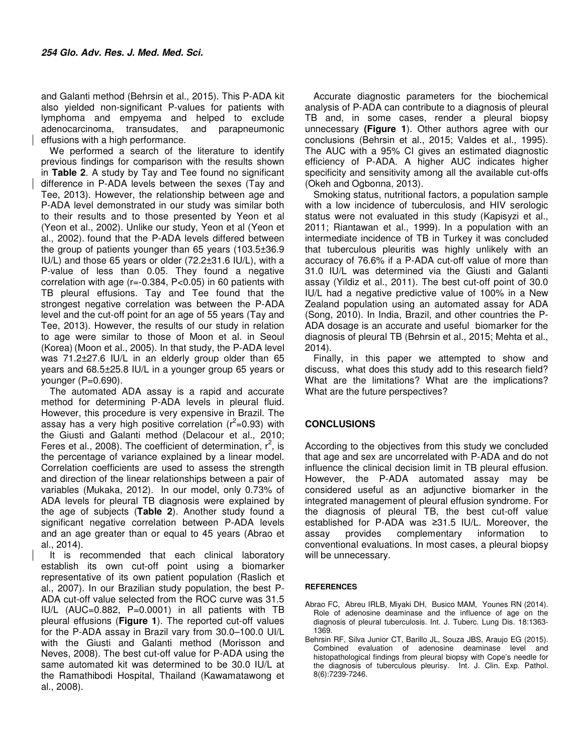and Galanti method (Behrsin et al., 2015). This P-ADA kit also yielded non-significant P-values for patients with lymphoma and empyema and helped to exclude adenocarcinoma, transudates, and parapneumonic effusions with a high performance.

We performed a search of the literature to identify previous findings for comparison with the results shown in **Table 2**. A study by Tay and Tee found no significant difference in P-ADA levels between the sexes (Tay and Tee, 2013). However, the relationship between age and P-ADA level demonstrated in our study was similar both to their results and to those presented by Yeon et al (Yeon et al., 2002). Unlike our study, Yeon et al (Yeon et al., 2002). found that the P-ADA levels differed between the group of patients younger than 65 years (103.5±36.9 IU/L) and those 65 years or older (72.2±31.6 IU/L), with a P-value of less than 0.05. They found a negative correlation with age (r=-0.384, P<0.05) in 60 patients with TB pleural effusions. Tay and Tee found that the strongest negative correlation was between the P-ADA level and the cut-off point for an age of 55 years (Tay and Tee, 2013). However, the results of our study in relation to age were similar to those of Moon et al. in Seoul (Korea) (Moon et al., 2005). In that study, the P-ADA level was 71.2±27.6 IU/L in an elderly group older than 65 years and 68.5±25.8 IU/L in a younger group 65 years or younger (P=0.690).

The automated ADA assay is a rapid and accurate method for determining P-ADA levels in pleural fluid. However, this procedure is very expensive in Brazil. The assay has a very high positive correlation ( $r^2$ =0.93) with the Giusti and Galanti method (Delacour et al., 2010; Feres et al., 2008). The coefficient of determination,  $r^2$ , is the percentage of variance explained by a linear model. Correlation coefficients are used to assess the strength and direction of the linear relationships between a pair of variables (Mukaka, 2012). In our model, only 0.73% of ADA levels for pleural TB diagnosis were explained by the age of subjects (**Table 2**). Another study found a significant negative correlation between P-ADA levels and an age greater than or equal to 45 years (Abrao et al., 2014).

It is recommended that each clinical laboratory establish its own cut-off point using a biomarker representative of its own patient population (Raslich et al., 2007). In our Brazilian study population, the best P-ADA cut-off value selected from the ROC curve was 31.5 IU/L (AUC=0.882, P=0.0001) in all patients with TB pleural effusions (**Figure 1**). The reported cut-off values for the P-ADA assay in Brazil vary from 30.0–100.0 UI/L with the Giusti and Galanti method (Morisson and Neves, 2008). The best cut-off value for P-ADA using the same automated kit was determined to be 30.0 IU/L at the Ramathibodi Hospital, Thailand (Kawamatawong et al., 2008).

Accurate diagnostic parameters for the biochemical analysis of P-ADA can contribute to a diagnosis of pleural TB and, in some cases, render a pleural biopsy unnecessary **(Figure 1**). Other authors agree with our conclusions (Behrsin et al., 2015; Valdes et al., 1995). The AUC with a 95% CI gives an estimated diagnostic efficiency of P-ADA. A higher AUC indicates higher specificity and sensitivity among all the available cut-offs (Okeh and Ogbonna, 2013).

Smoking status, nutritional factors, a population sample with a low incidence of tuberculosis, and HIV serologic status were not evaluated in this study (Kapisyzi et al., 2011; Riantawan et al., 1999). In a population with an intermediate incidence of TB in Turkey it was concluded that tuberculous pleuritis was highly unlikely with an accuracy of 76.6% if a P-ADA cut-off value of more than 31.0 IU/L was determined via the Giusti and Galanti assay (Yildiz et al., 2011). The best cut-off point of 30.0 IU/L had a negative predictive value of 100% in a New Zealand population using an automated assay for ADA (Song, 2010). In India, Brazil, and other countries the P-ADA dosage is an accurate and useful biomarker for the diagnosis of pleural TB (Behrsin et al., 2015; Mehta et al., 2014).

Finally, in this paper we attempted to show and discuss, what does this study add to this research field? What are the limitations? What are the implications? What are the future perspectives?

# **CONCLUSIONS**

According to the objectives from this study we concluded that age and sex are uncorrelated with P-ADA and do not influence the clinical decision limit in TB pleural effusion. However, the P-ADA automated assay may be considered useful as an adjunctive biomarker in the integrated management of pleural effusion syndrome. For the diagnosis of pleural TB, the best cut-off value established for P-ADA was ≥31.5 IU/L. Moreover, the assay provides complementary information to conventional evaluations. In most cases, a pleural biopsy will be unnecessary.

#### **REFERENCES**

- Abrao FC, Abreu IRLB, Miyaki DH, Busico MAM, Younes RN (2014). Role of adenosine deaminase and the influence of age on the diagnosis of pleural tuberculosis. Int. J. Tuberc. Lung Dis. 18:1363- 1369.
- Behrsin RF, Silva Junior CT, Barillo JL, Souza JBS, Araujo EG (2015). Combined evaluation of adenosine deaminase level and histopathological findings from pleural biopsy with Cope's needle for the diagnosis of tuberculous pleurisy. Int. J. Clin. Exp. Pathol. 8(6):7239-7246.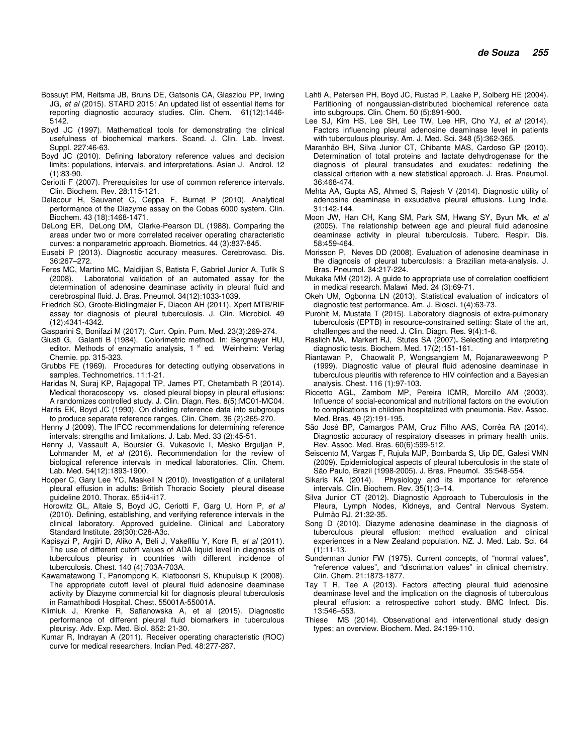- Bossuyt PM, Reitsma JB, Bruns DE, Gatsonis CA, Glasziou PP, Irwing JG, et al (2015). STARD 2015: An updated list of essential items for reporting diagnostic accuracy studies. Clin. Chem. 61(12):1446- 5142.
- Boyd JC (1997). Mathematical tools for demonstrating the clinical usefulness of biochemical markers. Scand. J. Clin. Lab. Invest. Suppl. 227:46-63.
- Boyd JC (2010). Defining laboratory reference values and decision limits: populations, intervals, and interpretations. Asian J. Androl. 12 (1):83-90.
- Ceriotti F (2007). Prerequisites for use of common reference intervals. Clin. Biochem. Rev. 28:115-121.
- Delacour H, Sauvanet C, Ceppa F, Burnat P (2010). Analytical performance of the Diazyme assay on the Cobas 6000 system. Clin. Biochem. 43 (18):1468-1471.
- DeLong ER, DeLong DM, Clarke-Pearson DL (1988). Comparing the areas under two or more correlated receiver operating characteristic curves: a nonparametric approach. Biometrics. 44 (3):837-845.
- Eusebi P (2013). Diagnostic accuracy measures. Cerebrovasc. Dis. 36:267–272.
- Feres MC, Martino MC, Maldijian S, Batista F, Gabriel Junior A, Tufik S (2008). Laboratorial validation of an automated assay for the determination of adenosine deaminase activity in pleural fluid and cerebrospinal fluid. J. Bras. Pneumol. 34(12):1033-1039.
- Friedrich SO, Groote-Bidlingmaier F, Diacon AH (2011). Xpert MTB/RIF assay for diagnosis of pleural tuberculosis. J. Clin. Microbiol. 49 (12):4341-4342.
- Gasparini S, Bonifazi M (2017). Curr. Opin. Pum. Med. 23(3):269-274.
- Giusti G, Galanti B (1984). Colorimetric method. In: Bergmeyer HU, editor. Methods of enzymatic analysis, 1<sup>st</sup> ed. Weinheim: Verlag Chemie. pp. 315-323.
- Grubbs FE (1969). Procedures for detecting outlying observations in samples. Technometrics. 11:1-21.
- Haridas N, Suraj KP, Rajagopal TP, James PT, Chetambath R (2014). Medical thoracoscopy vs. closed pleural biopsy in pleural effusions: A randomizes controlled study. J. Clin. Diagn. Res. 8(5):MC01-MC04.
- Harris EK, Boyd JC (1990). On dividing reference data into subgroups to produce separate reference ranges. Clin. Chem. 36 (2):265-270.
- Henny J (2009). The IFCC recommendations for determining reference intervals: strengths and limitations. J. Lab. Med. 33 (2):45-51.
- Henny J, Vassault A, Boursier G, Vukasovic I, Mesko Brguljan P, Lohmander M, et al (2016). Recommendation for the review of biological reference intervals in medical laboratories. Clin. Chem. Lab. Med. 54(12):1893-1900.
- Hooper C, Gary Lee YC, Maskell N (2010). Investigation of a unilateral pleural effusion in adults: British Thoracic Society pleural disease guideline 2010. Thorax. 65:ii4-ii17.
- Horowitz GL, Altaie S, Boyd JC, Ceriotti F, Garg U, Horn P, et al (2010). Defining, establishing, and verifying reference intervals in the clinical laboratory. Approved guideline. Clinical and Laboratory Standard Institute. 28(30):C28-A3c.
- Kapisyzi P, Argjiri D, Aliko A, Beli J, Vakeflliu Y, Kore R, et al (2011). The use of different cutoff values of ADA liquid level in diagnosis of tuberculous pleurisy in countries with different incidence of tuberculosis. Chest. 140 (4):703A-703A.
- Kawamatawong T, Panompong K, Kiatboonsri S, Khupulsup K (2008). The appropriate cutoff level of pleural fluid adenosine deaminase activity by Diazyme commercial kit for diagnosis pleural tuberculosis in Ramathibodi Hospital. Chest. 55001A-55001A.
- Klimiuk J, Krenke R, Safianowska A, et al (2015). Diagnostic performance of different pleural fluid biomarkers in tuberculous pleurisy. Adv. Exp. Med. Biol. 852: 21-30.
- Kumar R, Indrayan A (2011). Receiver operating characteristic (ROC) curve for medical researchers. Indian Ped. 48:277-287.
- Lahti A, Petersen PH, Boyd JC, Rustad P, Laake P, Solberg HE (2004). Partitioning of nongaussian-distributed biochemical reference data into subgroups. Clin. Chem. 50 (5):891-900.
- Lee SJ, Kim HS, Lee SH, Lee TW, Lee HR, Cho YJ, et al (2014). Factors influencing pleural adenosine deaminase level in patients with tuberculous pleurisy. Am. J. Med. Sci. 348 (5):362-365.
- Maranhão BH, Silva Junior CT, Chibante MAS, Cardoso GP (2010). Determination of total proteins and lactate dehydrogenase for the diagnosis of pleural transudates and exudates: redefining the classical criterion with a new statistical approach. J. Bras. Pneumol. 36:468-474.
- Mehta AA, Gupta AS, Ahmed S, Rajesh V (2014). Diagnostic utility of adenosine deaminase in exsudative pleural effusions. Lung India. 31:142-144.
- Moon JW, Han CH, Kang SM, Park SM, Hwang SY, Byun Mk, et al (2005). The relationship between age and pleural fluid adenosine deaminase activity in pleural tuberculosis. Tuberc. Respir. Dis. 58:459-464.
- Morisson P, Neves DD (2008). Evaluation of adenosine deaminase in the diagnosis of pleural tuberculosis: a Brazilian meta-analysis. J. Bras. Pneumol. 34:217-224.
- Mukaka MM (2012). A guide to appropriate use of correlation coefficient in medical research. Malawi Med. 24 (3):69-71.
- Okeh UM, Ogbonna LN (2013). Statistical evaluation of indicators of diagnostic test performance. Am. J. Biosci. 1(4):63-73.
- Purohit M, Mustafa T (2015). Laboratory diagnosis of extra-pulmonary tuberculosis (EPTB) in resource-constrained setting: State of the art, challenges and the need. J. Clin. Diagn. Res. 9(4):1-6.
- Raslich MA, Markert RJ, Stutes SA (2007)**.** Selecting and interpreting diagnostic tests. Biochem. Med. 17(2):151-161.
- Riantawan P, Chaowalit P, Wongsangiem M, Rojanaraweewong P (1999). Diagnostic value of pleural fluid adenosine deaminase in tuberculous pleuritis with reference to HIV coinfection and a Bayesian analysis. Chest. 116 (1):97-103.
- Riccetto AGL, Zambom MP, Pereira ICMR, Morcillo AM (2003). Influence of social-economical and nutritional factors on the evolution to complications in children hospitalized with pneumonia. Rev. Assoc. Med. Bras. 49 (2):191-195.
- São José BP, Camargos PAM, Cruz Filho AAS, Corrêa RA (2014). Diagnostic accuracy of respiratory diseases in primary health units. Rev. Assoc. Med. Bras. 60(6):599-512.
- Seiscento M, Vargas F, Rujula MJP, Bombarda S, Uip DE, Galesi VMN (2009). Epidemiological aspects of pleural tuberculosis in the state of São Paulo, Brazil (1998-2005). J. Bras. Pneumol. 35:548-554.
- Sikaris KA (2014). Physiology and its importance for reference intervals. Clin. Biochem. Rev. 35(1):3–14.
- Silva Junior CT (2012). Diagnostic Approach to Tuberculosis in the Pleura, Lymph Nodes, Kidneys, and Central Nervous System. Pulmão RJ. 21:32-35.
- Song D (2010). Diazyme adenosine deaminase in the diagnosis of tuberculous pleural effusion: method evaluation and clinical experiences in a New Zealand population. NZ. J. Med. Lab. Sci. 64 (1):11-13.
- Sunderman Junior FW (1975). Current concepts, of "normal values", "reference values", and "discrimation values" in clinical chemistry. Clin. Chem. 21:1873-1877.
- Tay T R, Tee A (2013). Factors affecting pleural fluid adenosine deaminase level and the implication on the diagnosis of tuberculous pleural effusion: a retrospective cohort study. BMC Infect. Dis. 13:546–553.
- Thiese MS (2014). Observational and interventional study design types; an overview. Biochem. Med. 24:199-110.